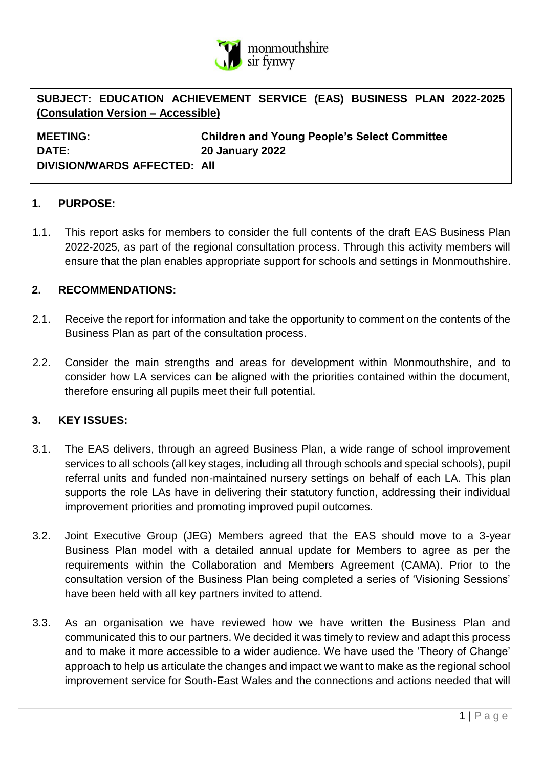

**SUBJECT: EDUCATION ACHIEVEMENT SERVICE (EAS) BUSINESS PLAN 2022-2025 (Consulation Version – Accessible)**

**DATE: 20 January 2022 DIVISION/WARDS AFFECTED: All**

**MEETING: Children and Young People's Select Committee**

#### **1. PURPOSE:**

1.1. This report asks for members to consider the full contents of the draft EAS Business Plan 2022-2025, as part of the regional consultation process. Through this activity members will ensure that the plan enables appropriate support for schools and settings in Monmouthshire.

#### **2. RECOMMENDATIONS:**

- 2.1. Receive the report for information and take the opportunity to comment on the contents of the Business Plan as part of the consultation process.
- 2.2. Consider the main strengths and areas for development within Monmouthshire, and to consider how LA services can be aligned with the priorities contained within the document, therefore ensuring all pupils meet their full potential.

#### **3. KEY ISSUES:**

- 3.1. The EAS delivers, through an agreed Business Plan, a wide range of school improvement services to all schools (all key stages, including all through schools and special schools), pupil referral units and funded non-maintained nursery settings on behalf of each LA. This plan supports the role LAs have in delivering their statutory function, addressing their individual improvement priorities and promoting improved pupil outcomes.
- 3.2. Joint Executive Group (JEG) Members agreed that the EAS should move to a 3-year Business Plan model with a detailed annual update for Members to agree as per the requirements within the Collaboration and Members Agreement (CAMA). Prior to the consultation version of the Business Plan being completed a series of 'Visioning Sessions' have been held with all key partners invited to attend.
- 3.3. As an organisation we have reviewed how we have written the Business Plan and communicated this to our partners. We decided it was timely to review and adapt this process and to make it more accessible to a wider audience. We have used the 'Theory of Change' approach to help us articulate the changes and impact we want to make as the regional school improvement service for South-East Wales and the connections and actions needed that will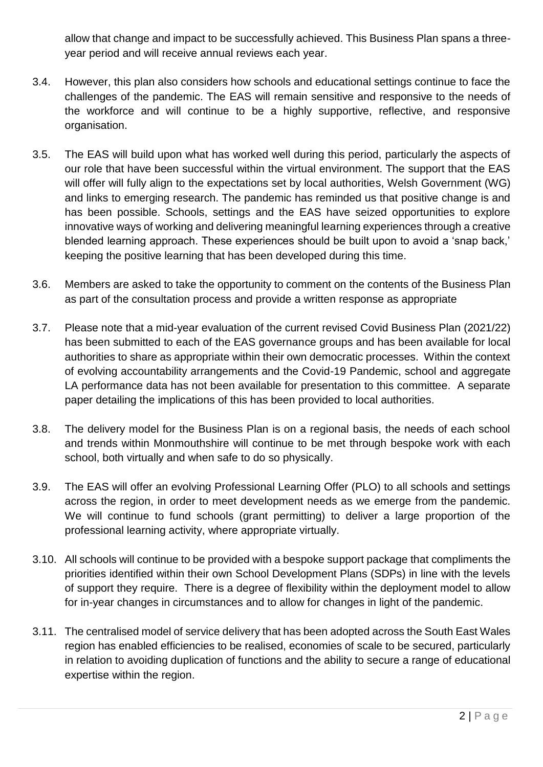allow that change and impact to be successfully achieved. This Business Plan spans a threeyear period and will receive annual reviews each year.

- 3.4. However, this plan also considers how schools and educational settings continue to face the challenges of the pandemic. The EAS will remain sensitive and responsive to the needs of the workforce and will continue to be a highly supportive, reflective, and responsive organisation.
- 3.5. The EAS will build upon what has worked well during this period, particularly the aspects of our role that have been successful within the virtual environment. The support that the EAS will offer will fully align to the expectations set by local authorities, Welsh Government (WG) and links to emerging research. The pandemic has reminded us that positive change is and has been possible. Schools, settings and the EAS have seized opportunities to explore innovative ways of working and delivering meaningful learning experiences through a creative blended learning approach. These experiences should be built upon to avoid a 'snap back,' keeping the positive learning that has been developed during this time.
- 3.6. Members are asked to take the opportunity to comment on the contents of the Business Plan as part of the consultation process and provide a written response as appropriate
- 3.7. Please note that a mid-year evaluation of the current revised Covid Business Plan (2021/22) has been submitted to each of the EAS governance groups and has been available for local authorities to share as appropriate within their own democratic processes. Within the context of evolving accountability arrangements and the Covid-19 Pandemic, school and aggregate LA performance data has not been available for presentation to this committee. A separate paper detailing the implications of this has been provided to local authorities.
- 3.8. The delivery model for the Business Plan is on a regional basis, the needs of each school and trends within Monmouthshire will continue to be met through bespoke work with each school, both virtually and when safe to do so physically.
- 3.9. The EAS will offer an evolving Professional Learning Offer (PLO) to all schools and settings across the region, in order to meet development needs as we emerge from the pandemic. We will continue to fund schools (grant permitting) to deliver a large proportion of the professional learning activity, where appropriate virtually.
- 3.10. All schools will continue to be provided with a bespoke support package that compliments the priorities identified within their own School Development Plans (SDPs) in line with the levels of support they require. There is a degree of flexibility within the deployment model to allow for in-year changes in circumstances and to allow for changes in light of the pandemic.
- 3.11. The centralised model of service delivery that has been adopted across the South East Wales region has enabled efficiencies to be realised, economies of scale to be secured, particularly in relation to avoiding duplication of functions and the ability to secure a range of educational expertise within the region.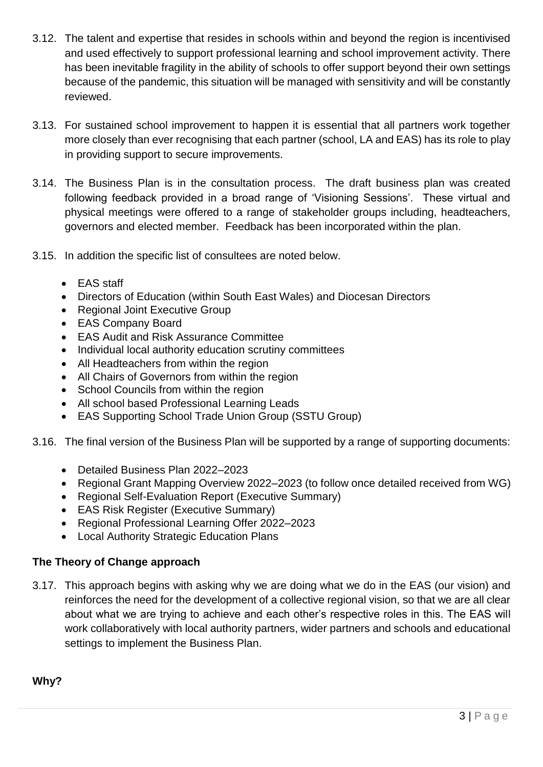- 3.12. The talent and expertise that resides in schools within and beyond the region is incentivised and used effectively to support professional learning and school improvement activity. There has been inevitable fragility in the ability of schools to offer support beyond their own settings because of the pandemic, this situation will be managed with sensitivity and will be constantly reviewed.
- 3.13. For sustained school improvement to happen it is essential that all partners work together more closely than ever recognising that each partner (school, LA and EAS) has its role to play in providing support to secure improvements.
- 3.14. The Business Plan is in the consultation process. The draft business plan was created following feedback provided in a broad range of 'Visioning Sessions'. These virtual and physical meetings were offered to a range of stakeholder groups including, headteachers, governors and elected member. Feedback has been incorporated within the plan.
- 3.15. In addition the specific list of consultees are noted below.
	- EAS staff
	- Directors of Education (within South East Wales) and Diocesan Directors
	- Regional Joint Executive Group
	- EAS Company Board
	- EAS Audit and Risk Assurance Committee
	- Individual local authority education scrutiny committees
	- All Headteachers from within the region
	- All Chairs of Governors from within the region
	- School Councils from within the region
	- All school based Professional Learning Leads
	- EAS Supporting School Trade Union Group (SSTU Group)
- 3.16. The final version of the Business Plan will be supported by a range of supporting documents:
	- Detailed Business Plan 2022–2023
	- Regional Grant Mapping Overview 2022–2023 (to follow once detailed received from WG)
	- Regional Self-Evaluation Report (Executive Summary)
	- EAS Risk Register (Executive Summary)
	- Regional Professional Learning Offer 2022–2023
	- Local Authority Strategic Education Plans

## **The Theory of Change approach**

3.17. This approach begins with asking why we are doing what we do in the EAS (our vision) and reinforces the need for the development of a collective regional vision, so that we are all clear about what we are trying to achieve and each other's respective roles in this. The EAS will work collaboratively with local authority partners, wider partners and schools and educational settings to implement the Business Plan.

**Why?**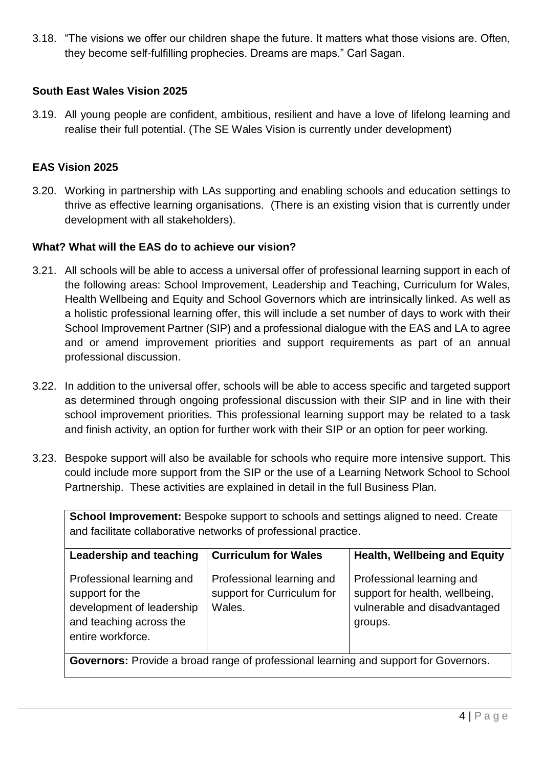3.18. "The visions we offer our children shape the future. It matters what those visions are. Often, they become self-fulfilling prophecies. Dreams are maps." Carl Sagan.

### **South East Wales Vision 2025**

3.19. All young people are confident, ambitious, resilient and have a love of lifelong learning and realise their full potential. (The SE Wales Vision is currently under development)

## **EAS Vision 2025**

3.20. Working in partnership with LAs supporting and enabling schools and education settings to thrive as effective learning organisations. (There is an existing vision that is currently under development with all stakeholders).

#### **What? What will the EAS do to achieve our vision?**

- 3.21. All schools will be able to access a universal offer of professional learning support in each of the following areas: School Improvement, Leadership and Teaching, Curriculum for Wales, Health Wellbeing and Equity and School Governors which are intrinsically linked. As well as a holistic professional learning offer, this will include a set number of days to work with their School Improvement Partner (SIP) and a professional dialogue with the EAS and LA to agree and or amend improvement priorities and support requirements as part of an annual professional discussion.
- 3.22. In addition to the universal offer, schools will be able to access specific and targeted support as determined through ongoing professional discussion with their SIP and in line with their school improvement priorities. This professional learning support may be related to a task and finish activity, an option for further work with their SIP or an option for peer working.
- 3.23. Bespoke support will also be available for schools who require more intensive support. This could include more support from the SIP or the use of a Learning Network School to School Partnership. These activities are explained in detail in the full Business Plan.

| <b>School Improvement:</b> Bespoke support to schools and settings aligned to need. Create<br>and facilitate collaborative networks of professional practice. |                                                                   |                                                                                                        |  |
|---------------------------------------------------------------------------------------------------------------------------------------------------------------|-------------------------------------------------------------------|--------------------------------------------------------------------------------------------------------|--|
| Leadership and teaching                                                                                                                                       | <b>Curriculum for Wales</b>                                       | <b>Health, Wellbeing and Equity</b>                                                                    |  |
| Professional learning and<br>support for the<br>development of leadership<br>and teaching across the<br>entire workforce.                                     | Professional learning and<br>support for Curriculum for<br>Wales. | Professional learning and<br>support for health, wellbeing,<br>vulnerable and disadvantaged<br>groups. |  |
| <b>Governors:</b> Provide a broad range of professional learning and support for Governors.                                                                   |                                                                   |                                                                                                        |  |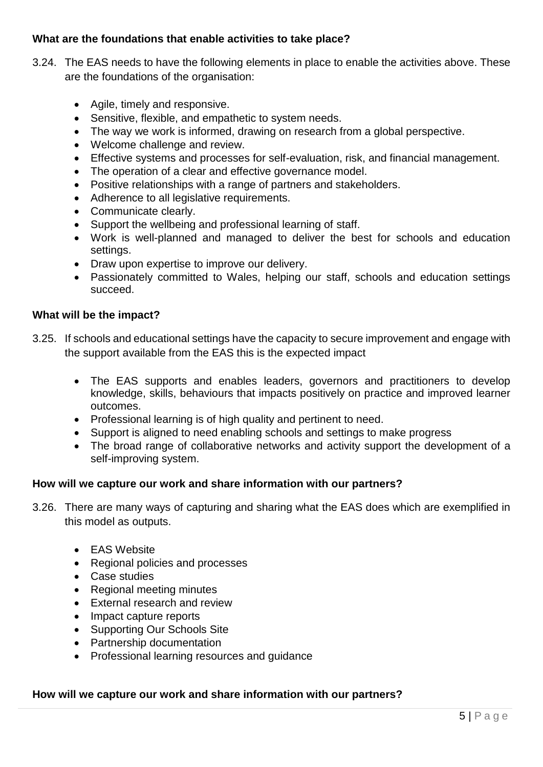### **What are the foundations that enable activities to take place?**

- 3.24. The EAS needs to have the following elements in place to enable the activities above. These are the foundations of the organisation:
	- Agile, timely and responsive.
	- Sensitive, flexible, and empathetic to system needs.
	- The way we work is informed, drawing on research from a global perspective.
	- Welcome challenge and review.
	- Effective systems and processes for self-evaluation, risk, and financial management.
	- The operation of a clear and effective governance model.
	- Positive relationships with a range of partners and stakeholders.
	- Adherence to all legislative requirements.
	- Communicate clearly.
	- Support the wellbeing and professional learning of staff.
	- Work is well-planned and managed to deliver the best for schools and education settings.
	- Draw upon expertise to improve our delivery.
	- Passionately committed to Wales, helping our staff, schools and education settings succeed.

#### **What will be the impact?**

- 3.25. If schools and educational settings have the capacity to secure improvement and engage with the support available from the EAS this is the expected impact
	- The EAS supports and enables leaders, governors and practitioners to develop knowledge, skills, behaviours that impacts positively on practice and improved learner outcomes.
	- Professional learning is of high quality and pertinent to need.
	- Support is aligned to need enabling schools and settings to make progress
	- The broad range of collaborative networks and activity support the development of a self-improving system.

#### **How will we capture our work and share information with our partners?**

- 3.26. There are many ways of capturing and sharing what the EAS does which are exemplified in this model as outputs.
	- EAS Website
	- Regional policies and processes
	- Case studies
	- Regional meeting minutes
	- External research and review
	- Impact capture reports
	- Supporting Our Schools Site
	- Partnership documentation
	- Professional learning resources and guidance

#### **How will we capture our work and share information with our partners?**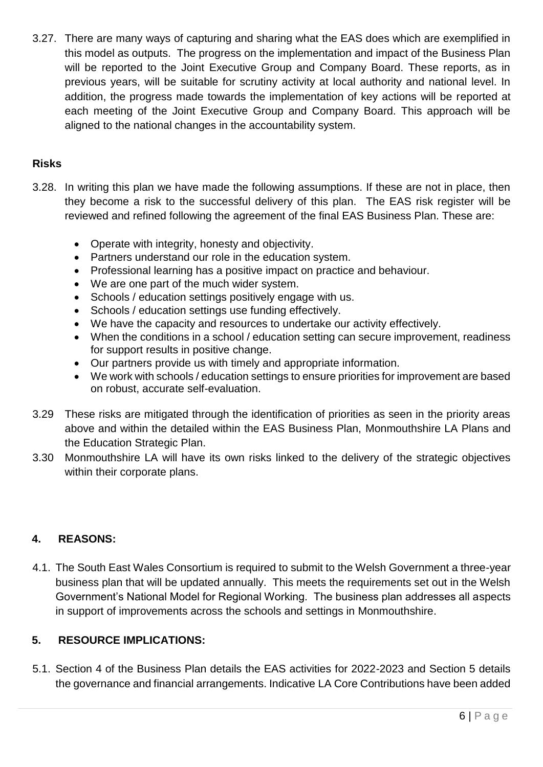3.27. There are many ways of capturing and sharing what the EAS does which are exemplified in this model as outputs. The progress on the implementation and impact of the Business Plan will be reported to the Joint Executive Group and Company Board. These reports, as in previous years, will be suitable for scrutiny activity at local authority and national level. In addition, the progress made towards the implementation of key actions will be reported at each meeting of the Joint Executive Group and Company Board. This approach will be aligned to the national changes in the accountability system.

## **Risks**

- 3.28. In writing this plan we have made the following assumptions. If these are not in place, then they become a risk to the successful delivery of this plan. The EAS risk register will be reviewed and refined following the agreement of the final EAS Business Plan. These are:
	- Operate with integrity, honesty and objectivity.
	- Partners understand our role in the education system.
	- Professional learning has a positive impact on practice and behaviour.
	- We are one part of the much wider system.
	- Schools / education settings positively engage with us.
	- Schools / education settings use funding effectively.
	- We have the capacity and resources to undertake our activity effectively.
	- When the conditions in a school / education setting can secure improvement, readiness for support results in positive change.
	- Our partners provide us with timely and appropriate information.
	- We work with schools / education settings to ensure priorities for improvement are based on robust, accurate self-evaluation.
- 3.29 These risks are mitigated through the identification of priorities as seen in the priority areas above and within the detailed within the EAS Business Plan, Monmouthshire LA Plans and the Education Strategic Plan.
- 3.30 Monmouthshire LA will have its own risks linked to the delivery of the strategic objectives within their corporate plans.

## **4. REASONS:**

4.1. The South East Wales Consortium is required to submit to the Welsh Government a three-year business plan that will be updated annually. This meets the requirements set out in the Welsh Government's National Model for Regional Working. The business plan addresses all aspects in support of improvements across the schools and settings in Monmouthshire.

# **5. RESOURCE IMPLICATIONS:**

5.1. Section 4 of the Business Plan details the EAS activities for 2022-2023 and Section 5 details the governance and financial arrangements. Indicative LA Core Contributions have been added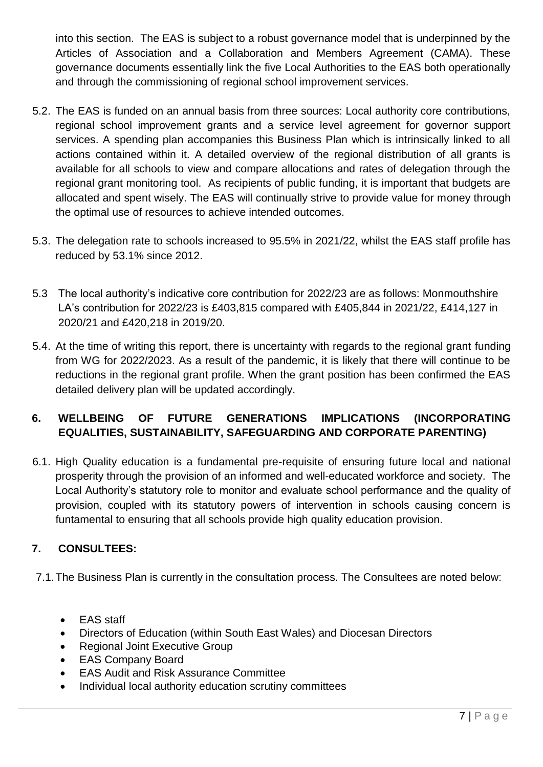into this section. The EAS is subject to a robust governance model that is underpinned by the Articles of Association and a Collaboration and Members Agreement (CAMA). These governance documents essentially link the five Local Authorities to the EAS both operationally and through the commissioning of regional school improvement services.

- 5.2. The EAS is funded on an annual basis from three sources: Local authority core contributions, regional school improvement grants and a service level agreement for governor support services. A spending plan accompanies this Business Plan which is intrinsically linked to all actions contained within it. A detailed overview of the regional distribution of all grants is available for all schools to view and compare allocations and rates of delegation through the regional grant monitoring tool. As recipients of public funding, it is important that budgets are allocated and spent wisely. The EAS will continually strive to provide value for money through the optimal use of resources to achieve intended outcomes.
- 5.3. The delegation rate to schools increased to 95.5% in 2021/22, whilst the EAS staff profile has reduced by 53.1% since 2012.
- 5.3 The local authority's indicative core contribution for 2022/23 are as follows: Monmouthshire LA's contribution for 2022/23 is £403,815 compared with £405,844 in 2021/22, £414,127 in 2020/21 and £420,218 in 2019/20.
- 5.4. At the time of writing this report, there is uncertainty with regards to the regional grant funding from WG for 2022/2023. As a result of the pandemic, it is likely that there will continue to be reductions in the regional grant profile. When the grant position has been confirmed the EAS detailed delivery plan will be updated accordingly.

# **6. WELLBEING OF FUTURE GENERATIONS IMPLICATIONS (INCORPORATING EQUALITIES, SUSTAINABILITY, SAFEGUARDING AND CORPORATE PARENTING)**

6.1. High Quality education is a fundamental pre-requisite of ensuring future local and national prosperity through the provision of an informed and well-educated workforce and society. The Local Authority's statutory role to monitor and evaluate school performance and the quality of provision, coupled with its statutory powers of intervention in schools causing concern is funtamental to ensuring that all schools provide high quality education provision.

# **7. CONSULTEES:**

7.1.The Business Plan is currently in the consultation process. The Consultees are noted below:

- EAS staff
- Directors of Education (within South East Wales) and Diocesan Directors
- Regional Joint Executive Group
- EAS Company Board
- EAS Audit and Risk Assurance Committee
- Individual local authority education scrutiny committees